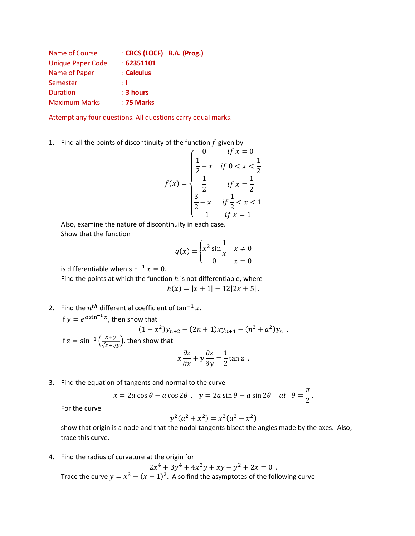| :62351101   |                            |
|-------------|----------------------------|
| : Calculus  |                            |
| ÷Т          |                            |
| $: 3$ hours |                            |
| : 75 Marks  |                            |
|             | : CBCS (LOCF) B.A. (Prog.) |

Attempt any four questions. All questions carry equal marks.

1. Find all the points of discontinuity of the function  $f$  given by

$$
f(x) = \begin{cases} 0 & \text{if } x = 0 \\ \frac{1}{2} - x & \text{if } 0 < x < \frac{1}{2} \\ \frac{1}{2} & \text{if } x = \frac{1}{2} \\ \frac{3}{2} - x & \text{if } \frac{1}{2} < x < 1 \\ 1 & \text{if } x = 1 \end{cases}
$$

Also, examine the nature of discontinuity in each case. Show that the function

$$
g(x) = \begin{cases} x^2 \sin \frac{1}{x} & x \neq 0 \\ 0 & x = 0 \end{cases}
$$

is differentiable when  $\sin^{-1} x = 0$ .

Find the points at which the function  $h$  is not differentiable, where  $h(x) = |x + 1| + 12|2x + 5|$ .

2. Find the  $n^{th}$  differential coefficient of  $\tan^{-1} x$ . If  $y = e^{a \sin^{-1} x}$ , then show that  $(1-x^2)y_{n+2} - (2n+1)xy_{n+1} - (n^2 + a^2)y_n$ . If  $z = \sin^{-1} \left( \frac{x+y}{\sqrt{x+y}} \right)$  $\frac{x+y}{\sqrt{x}+\sqrt{y}}$ , then show that

$$
x\frac{\partial z}{\partial x} + y\frac{\partial z}{\partial y} = \frac{1}{2}\tan z.
$$

3. Find the equation of tangents and normal to the curve

$$
x = 2a \cos \theta - a \cos 2\theta
$$
,  $y = 2a \sin \theta - a \sin 2\theta$  at  $\theta = \frac{\pi}{2}$ .

For the curve

$$
y^2(a^2 + x^2) = x^2(a^2 - x^2)
$$

show that origin is a node and that the nodal tangents bisect the angles made by the axes. Also, trace this curve.

4. Find the radius of curvature at the origin for

$$
2x^4 + 3y^4 + 4x^2y + xy - y^2 + 2x = 0
$$

Trace the curve  $y = x^3 - (x + 1)^2$ . Also find the asymptotes of the following curve